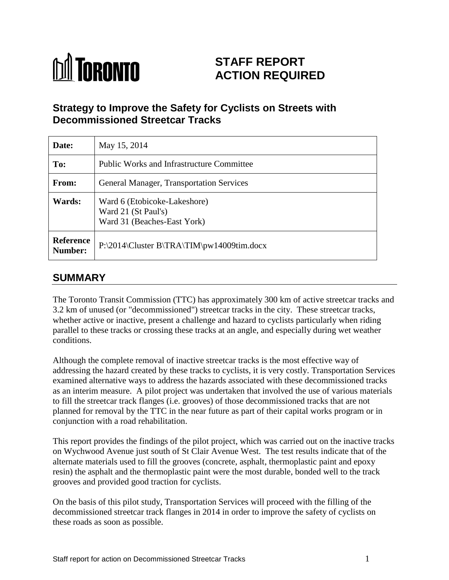

# **STAFF REPORT ACTION REQUIRED**

## **Strategy to Improve the Safety for Cyclists on Streets with Decommissioned Streetcar Tracks**

| Date:                       | May 15, 2014                                                                       |  |  |  |  |  |
|-----------------------------|------------------------------------------------------------------------------------|--|--|--|--|--|
| To:                         | <b>Public Works and Infrastructure Committee</b>                                   |  |  |  |  |  |
| From:                       | <b>General Manager, Transportation Services</b>                                    |  |  |  |  |  |
| Wards:                      | Ward 6 (Etobicoke-Lakeshore)<br>Ward 21 (St Paul's)<br>Ward 31 (Beaches-East York) |  |  |  |  |  |
| <b>Reference</b><br>Number: | P:\2014\Cluster B\TRA\TIM\pw14009tim.docx                                          |  |  |  |  |  |

### **SUMMARY**

The Toronto Transit Commission (TTC) has approximately 300 km of active streetcar tracks and 3.2 km of unused (or "decommissioned") streetcar tracks in the city. These streetcar tracks, whether active or inactive, present a challenge and hazard to cyclists particularly when riding parallel to these tracks or crossing these tracks at an angle, and especially during wet weather conditions.

Although the complete removal of inactive streetcar tracks is the most effective way of addressing the hazard created by these tracks to cyclists, it is very costly. Transportation Services examined alternative ways to address the hazards associated with these decommissioned tracks as an interim measure. A pilot project was undertaken that involved the use of various materials to fill the streetcar track flanges (i.e. grooves) of those decommissioned tracks that are not planned for removal by the TTC in the near future as part of their capital works program or in conjunction with a road rehabilitation.

This report provides the findings of the pilot project, which was carried out on the inactive tracks on Wychwood Avenue just south of St Clair Avenue West. The test results indicate that of the alternate materials used to fill the grooves (concrete, asphalt, thermoplastic paint and epoxy resin) the asphalt and the thermoplastic paint were the most durable, bonded well to the track grooves and provided good traction for cyclists.

On the basis of this pilot study, Transportation Services will proceed with the filling of the decommissioned streetcar track flanges in 2014 in order to improve the safety of cyclists on these roads as soon as possible.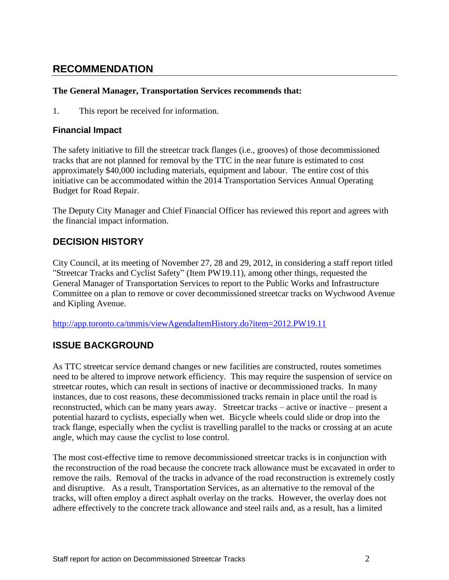## **RECOMMENDATION**

#### **The General Manager, Transportation Services recommends that:**

1. This report be received for information.

#### **Financial Impact**

The safety initiative to fill the streetcar track flanges (i.e., grooves) of those decommissioned tracks that are not planned for removal by the TTC in the near future is estimated to cost approximately \$40,000 including materials, equipment and labour. The entire cost of this initiative can be accommodated within the 2014 Transportation Services Annual Operating Budget for Road Repair.

The Deputy City Manager and Chief Financial Officer has reviewed this report and agrees with the financial impact information.

#### **DECISION HISTORY**

City Council, at its meeting of November 27, 28 and 29, 2012, in considering a staff report titled "Streetcar Tracks and Cyclist Safety" (Item PW19.11), among other things, requested the General Manager of Transportation Services to report to the Public Works and Infrastructure Committee on a plan to remove or cover decommissioned streetcar tracks on Wychwood Avenue and Kipling Avenue.

<http://app.toronto.ca/tmmis/viewAgendaItemHistory.do?item=2012.PW19.11>

#### **ISSUE BACKGROUND**

As TTC streetcar service demand changes or new facilities are constructed, routes sometimes need to be altered to improve network efficiency. This may require the suspension of service on streetcar routes, which can result in sections of inactive or decommissioned tracks. In many instances, due to cost reasons, these decommissioned tracks remain in place until the road is reconstructed, which can be many years away. Streetcar tracks – active or inactive – present a potential hazard to cyclists, especially when wet. Bicycle wheels could slide or drop into the track flange, especially when the cyclist is travelling parallel to the tracks or crossing at an acute angle, which may cause the cyclist to lose control.

The most cost-effective time to remove decommissioned streetcar tracks is in conjunction with the reconstruction of the road because the concrete track allowance must be excavated in order to remove the rails. Removal of the tracks in advance of the road reconstruction is extremely costly and disruptive. As a result, Transportation Services, as an alternative to the removal of the tracks, will often employ a direct asphalt overlay on the tracks. However, the overlay does not adhere effectively to the concrete track allowance and steel rails and, as a result, has a limited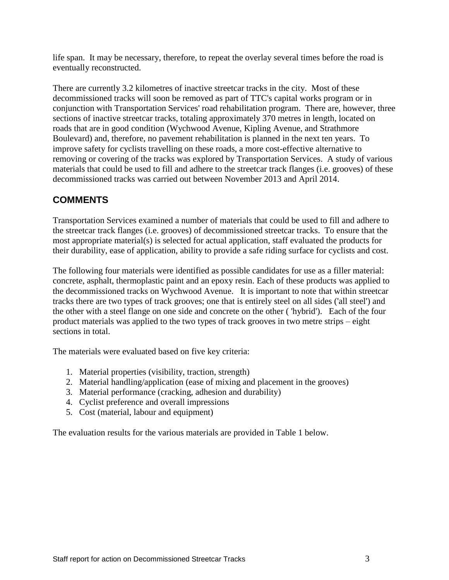life span. It may be necessary, therefore, to repeat the overlay several times before the road is eventually reconstructed.

There are currently 3.2 kilometres of inactive streetcar tracks in the city. Most of these decommissioned tracks will soon be removed as part of TTC's capital works program or in conjunction with Transportation Services' road rehabilitation program. There are, however, three sections of inactive streetcar tracks, totaling approximately 370 metres in length, located on roads that are in good condition (Wychwood Avenue, Kipling Avenue, and Strathmore Boulevard) and, therefore, no pavement rehabilitation is planned in the next ten years. To improve safety for cyclists travelling on these roads, a more cost-effective alternative to removing or covering of the tracks was explored by Transportation Services. A study of various materials that could be used to fill and adhere to the streetcar track flanges (i.e. grooves) of these decommissioned tracks was carried out between November 2013 and April 2014.

#### **COMMENTS**

Transportation Services examined a number of materials that could be used to fill and adhere to the streetcar track flanges (i.e. grooves) of decommissioned streetcar tracks. To ensure that the most appropriate material(s) is selected for actual application, staff evaluated the products for their durability, ease of application, ability to provide a safe riding surface for cyclists and cost.

The following four materials were identified as possible candidates for use as a filler material: concrete, asphalt, thermoplastic paint and an epoxy resin. Each of these products was applied to the decommissioned tracks on Wychwood Avenue. It is important to note that within streetcar tracks there are two types of track grooves; one that is entirely steel on all sides ('all steel') and the other with a steel flange on one side and concrete on the other ( 'hybrid'). Each of the four product materials was applied to the two types of track grooves in two metre strips – eight sections in total.

The materials were evaluated based on five key criteria:

- 1. Material properties (visibility, traction, strength)
- 2. Material handling/application (ease of mixing and placement in the grooves)
- 3. Material performance (cracking, adhesion and durability)
- 4. Cyclist preference and overall impressions
- 5. Cost (material, labour and equipment)

The evaluation results for the various materials are provided in Table 1 below.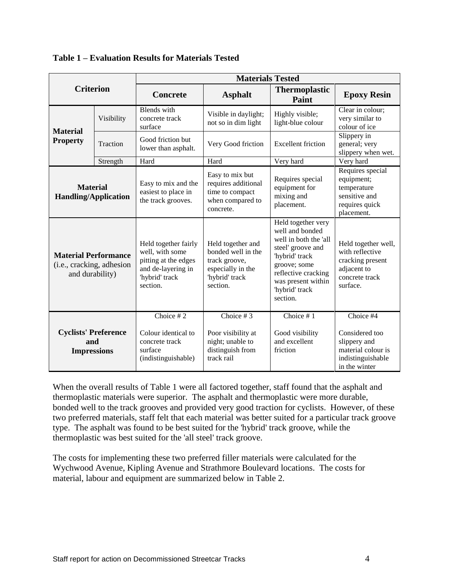| <b>Criterion</b>                                                            |            | <b>Materials Tested</b>                                                                                             |                                                                                                             |                                                                                                                                                                                                  |                                                                                                         |  |  |
|-----------------------------------------------------------------------------|------------|---------------------------------------------------------------------------------------------------------------------|-------------------------------------------------------------------------------------------------------------|--------------------------------------------------------------------------------------------------------------------------------------------------------------------------------------------------|---------------------------------------------------------------------------------------------------------|--|--|
|                                                                             |            | <b>Concrete</b>                                                                                                     | <b>Asphalt</b>                                                                                              | <b>Thermoplastic</b><br>Paint                                                                                                                                                                    | <b>Epoxy Resin</b>                                                                                      |  |  |
| <b>Material</b>                                                             | Visibility | <b>Blends</b> with<br>concrete track<br>surface                                                                     | Visible in daylight;<br>not so in dim light                                                                 | Highly visible;<br>light-blue colour                                                                                                                                                             | Clear in colour;<br>very similar to<br>colour of ice                                                    |  |  |
| <b>Property</b>                                                             | Traction   | Good friction but<br>lower than asphalt.                                                                            | Very Good friction                                                                                          | <b>Excellent friction</b>                                                                                                                                                                        | Slippery in<br>general; very<br>slippery when wet.                                                      |  |  |
|                                                                             | Strength   | Hard                                                                                                                | Hard                                                                                                        | Very hard                                                                                                                                                                                        | Very hard                                                                                               |  |  |
| <b>Material</b><br><b>Handling/Application</b>                              |            | Easy to mix and the<br>easiest to place in<br>the track grooves.                                                    | Easy to mix but<br>requires additional<br>time to compact<br>when compared to<br>concrete.                  | Requires special<br>equipment for<br>mixing and<br>placement.                                                                                                                                    | Requires special<br>equipment;<br>temperature<br>sensitive and<br>requires quick<br>placement.          |  |  |
| <b>Material Performance</b><br>(i.e., cracking, adhesion<br>and durability) |            | Held together fairly<br>well, with some<br>pitting at the edges<br>and de-layering in<br>'hybrid' track<br>section. | Held together and<br>bonded well in the<br>track groove,<br>especially in the<br>'hybrid' track<br>section. | Held together very<br>well and bonded<br>well in both the 'all<br>steel' groove and<br>'hybrid' track<br>groove; some<br>reflective cracking<br>was present within<br>'hybrid' track<br>section. | Held together well,<br>with reflective<br>cracking present<br>adjacent to<br>concrete track<br>surface. |  |  |
| <b>Cyclists' Preference</b><br>and<br><b>Impressions</b>                    |            | Choice $#2$<br>Colour identical to<br>concrete track<br>surface<br>(indistinguishable)                              | Choice # $3$<br>Poor visibility at<br>night; unable to<br>distinguish from<br>track rail                    | Choice $# 1$<br>Good visibility<br>and excellent<br>friction                                                                                                                                     | Choice #4<br>Considered too<br>slippery and<br>material colour is<br>indistinguishable<br>in the winter |  |  |

**Table 1 – Evaluation Results for Materials Tested**

When the overall results of Table 1 were all factored together, staff found that the asphalt and thermoplastic materials were superior. The asphalt and thermoplastic were more durable, bonded well to the track grooves and provided very good traction for cyclists. However, of these two preferred materials, staff felt that each material was better suited for a particular track groove type. The asphalt was found to be best suited for the 'hybrid' track groove, while the thermoplastic was best suited for the 'all steel' track groove.

The costs for implementing these two preferred filler materials were calculated for the Wychwood Avenue, Kipling Avenue and Strathmore Boulevard locations. The costs for material, labour and equipment are summarized below in Table 2.